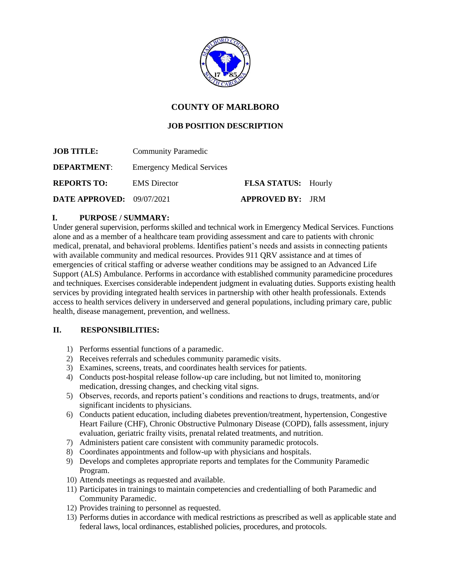

# **COUNTY OF MARLBORO**

## **JOB POSITION DESCRIPTION**

| <b>JOB TITLE:</b>         | <b>Community Paramedic</b>        |                            |  |
|---------------------------|-----------------------------------|----------------------------|--|
| <b>DEPARTMENT:</b>        | <b>Emergency Medical Services</b> |                            |  |
| <b>REPORTS TO:</b>        | <b>EMS</b> Director               | <b>FLSA STATUS:</b> Hourly |  |
| DATE APPROVED: 09/07/2021 |                                   | <b>APPROVED BY: JRM</b>    |  |

### **I. PURPOSE / SUMMARY:**

Under general supervision, performs skilled and technical work in Emergency Medical Services. Functions alone and as a member of a healthcare team providing assessment and care to patients with chronic medical, prenatal, and behavioral problems. Identifies patient's needs and assists in connecting patients with available community and medical resources. Provides 911 QRV assistance and at times of emergencies of critical staffing or adverse weather conditions may be assigned to an Advanced Life Support (ALS) Ambulance. Performs in accordance with established community paramedicine procedures and techniques. Exercises considerable independent judgment in evaluating duties. Supports existing health services by providing integrated health services in partnership with other health professionals. Extends access to health services delivery in underserved and general populations, including primary care, public health, disease management, prevention, and wellness.

### **II. RESPONSIBILITIES:**

- 1) Performs essential functions of a paramedic.
- 2) Receives referrals and schedules community paramedic visits.
- 3) Examines, screens, treats, and coordinates health services for patients.
- 4) Conducts post-hospital release follow-up care including, but not limited to, monitoring medication, dressing changes, and checking vital signs.
- 5) Observes, records, and reports patient's conditions and reactions to drugs, treatments, and/or significant incidents to physicians.
- 6) Conducts patient education, including diabetes prevention/treatment, hypertension, Congestive Heart Failure (CHF), Chronic Obstructive Pulmonary Disease (COPD), falls assessment, injury evaluation, geriatric frailty visits, prenatal related treatments, and nutrition.
- 7) Administers patient care consistent with community paramedic protocols.
- 8) Coordinates appointments and follow-up with physicians and hospitals.
- 9) Develops and completes appropriate reports and templates for the Community Paramedic Program.
- 10) Attends meetings as requested and available.
- 11) Participates in trainings to maintain competencies and credentialling of both Paramedic and Community Paramedic.
- 12) Provides training to personnel as requested.
- 13) Performs duties in accordance with medical restrictions as prescribed as well as applicable state and federal laws, local ordinances, established policies, procedures, and protocols.